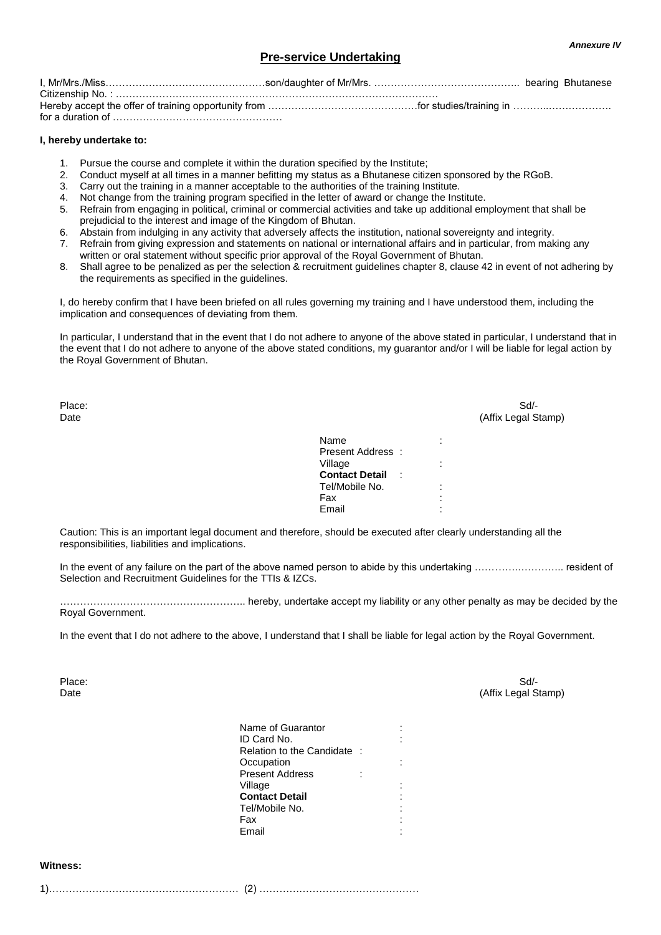### **Pre-service Undertaking**

### **I, hereby undertake to:**

- 1. Pursue the course and complete it within the duration specified by the Institute;
- 2. Conduct myself at all times in a manner befitting my status as a Bhutanese citizen sponsored by the RGoB.
- 3. Carry out the training in a manner acceptable to the authorities of the training Institute.
- 4. Not change from the training program specified in the letter of award or change the Institute.
- 5. Refrain from engaging in political, criminal or commercial activities and take up additional employment that shall be prejudicial to the interest and image of the Kingdom of Bhutan.
- 6. Abstain from indulging in any activity that adversely affects the institution, national sovereignty and integrity.
- 7. Refrain from giving expression and statements on national or international affairs and in particular, from making any written or oral statement without specific prior approval of the Royal Government of Bhutan.
- 8. Shall agree to be penalized as per the selection & recruitment guidelines chapter 8, clause 42 in event of not adhering by the requirements as specified in the guidelines.

I, do hereby confirm that I have been briefed on all rules governing my training and I have understood them, including the implication and consequences of deviating from them.

In particular, I understand that in the event that I do not adhere to anyone of the above stated in particular, I understand that in the event that I do not adhere to anyone of the above stated conditions, my guarantor and/or I will be liable for legal action by the Royal Government of Bhutan.

| Place:<br>Date |                                    |                                       | Sd<br>(Affix Legal Stamp) |
|----------------|------------------------------------|---------------------------------------|---------------------------|
|                | Name                               | $\blacksquare$<br>$\cdot$             |                           |
|                | Present Address:<br>Village        | $\bullet$                             |                           |
|                | <b>Contact Detail</b><br>$\sim$ 1. | $\cdot$                               |                           |
|                | Tel/Mobile No.                     | $\bullet$<br>$\overline{\phantom{a}}$ |                           |
|                | Fax                                |                                       |                           |
|                | Email                              | $\bullet$                             |                           |
|                |                                    |                                       |                           |

Caution: This is an important legal document and therefore, should be executed after clearly understanding all the responsibilities, liabilities and implications.

In the event of any failure on the part of the above named person to abide by this undertaking …………………………… resident of Selection and Recruitment Guidelines for the TTIs & IZCs.

……………………………………………….. hereby, undertake accept my liability or any other penalty as may be decided by the Royal Government.

In the event that I do not adhere to the above, I understand that I shall be liable for legal action by the Royal Government.

Place: Sd/- Solid Contract Contract Contract Contract Contract Contract Contract Contract Contract Contract Contract Contract Contract Contract Contract Contract Contract Contract Contract Contract Contract Contract Contra Date (Affix Legal Stamp)

> Name of Guarantor : ID Card No. Relation to the Candidate : Occupation<br>Present Address : : : : Present Address Village **Contact Detail** Tel/Mobile No. : Fax : **Email**

#### **Witness:**

1)………………………………………………… (2) …………………………………………